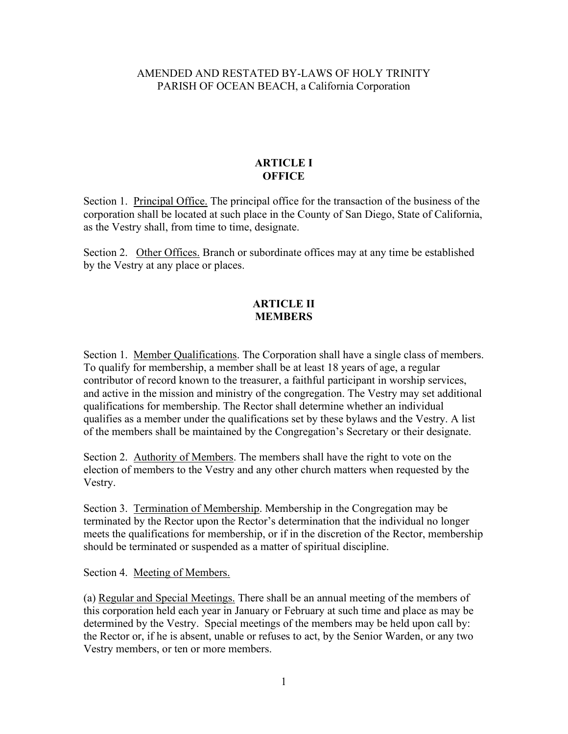## AMENDED AND RESTATED BY-LAWS OF HOLY TRINITY PARISH OF OCEAN BEACH, a California Corporation

## **ARTICLE I OFFICE**

Section 1. Principal Office. The principal office for the transaction of the business of the corporation shall be located at such place in the County of San Diego, State of California, as the Vestry shall, from time to time, designate.

Section 2. Other Offices. Branch or subordinate offices may at any time be established by the Vestry at any place or places.

#### **ARTICLE II MEMBERS**

Section 1. Member Qualifications. The Corporation shall have a single class of members. To qualify for membership, a member shall be at least 18 years of age, a regular contributor of record known to the treasurer, a faithful participant in worship services, and active in the mission and ministry of the congregation. The Vestry may set additional qualifications for membership. The Rector shall determine whether an individual qualifies as a member under the qualifications set by these bylaws and the Vestry. A list of the members shall be maintained by the Congregation's Secretary or their designate.

Section 2. Authority of Members. The members shall have the right to vote on the election of members to the Vestry and any other church matters when requested by the Vestry.

Section 3. Termination of Membership. Membership in the Congregation may be terminated by the Rector upon the Rector's determination that the individual no longer meets the qualifications for membership, or if in the discretion of the Rector, membership should be terminated or suspended as a matter of spiritual discipline.

Section 4. Meeting of Members.

(a) Regular and Special Meetings. There shall be an annual meeting of the members of this corporation held each year in January or February at such time and place as may be determined by the Vestry. Special meetings of the members may be held upon call by: the Rector or, if he is absent, unable or refuses to act, by the Senior Warden, or any two Vestry members, or ten or more members.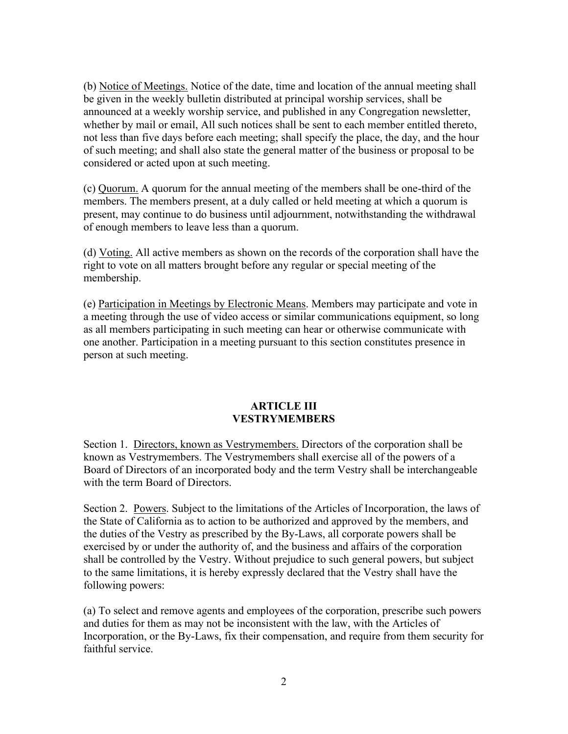(b) Notice of Meetings. Notice of the date, time and location of the annual meeting shall be given in the weekly bulletin distributed at principal worship services, shall be announced at a weekly worship service, and published in any Congregation newsletter, whether by mail or email, All such notices shall be sent to each member entitled thereto, not less than five days before each meeting; shall specify the place, the day, and the hour of such meeting; and shall also state the general matter of the business or proposal to be considered or acted upon at such meeting.

(c) Quorum. A quorum for the annual meeting of the members shall be one-third of the members. The members present, at a duly called or held meeting at which a quorum is present, may continue to do business until adjournment, notwithstanding the withdrawal of enough members to leave less than a quorum.

(d) Voting. All active members as shown on the records of the corporation shall have the right to vote on all matters brought before any regular or special meeting of the membership.

(e) Participation in Meetings by Electronic Means. Members may participate and vote in a meeting through the use of video access or similar communications equipment, so long as all members participating in such meeting can hear or otherwise communicate with one another. Participation in a meeting pursuant to this section constitutes presence in person at such meeting.

#### **ARTICLE III VESTRYMEMBERS**

Section 1. Directors, known as Vestrymembers. Directors of the corporation shall be known as Vestrymembers. The Vestrymembers shall exercise all of the powers of a Board of Directors of an incorporated body and the term Vestry shall be interchangeable with the term Board of Directors.

Section 2. Powers. Subject to the limitations of the Articles of Incorporation, the laws of the State of California as to action to be authorized and approved by the members, and the duties of the Vestry as prescribed by the By-Laws, all corporate powers shall be exercised by or under the authority of, and the business and affairs of the corporation shall be controlled by the Vestry. Without prejudice to such general powers, but subject to the same limitations, it is hereby expressly declared that the Vestry shall have the following powers:

(a) To select and remove agents and employees of the corporation, prescribe such powers and duties for them as may not be inconsistent with the law, with the Articles of Incorporation, or the By-Laws, fix their compensation, and require from them security for faithful service.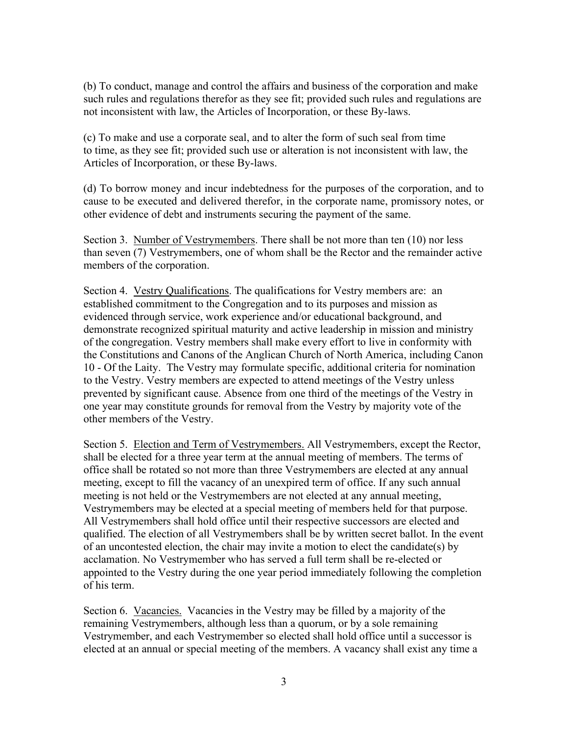(b) To conduct, manage and control the affairs and business of the corporation and make such rules and regulations therefor as they see fit; provided such rules and regulations are not inconsistent with law, the Articles of Incorporation, or these By-laws.

(c) To make and use a corporate seal, and to alter the form of such seal from time to time, as they see fit; provided such use or alteration is not inconsistent with law, the Articles of Incorporation, or these By-laws.

(d) To borrow money and incur indebtedness for the purposes of the corporation, and to cause to be executed and delivered therefor, in the corporate name, promissory notes, or other evidence of debt and instruments securing the payment of the same.

Section 3. Number of Vestrymembers. There shall be not more than ten (10) nor less than seven (7) Vestrymembers, one of whom shall be the Rector and the remainder active members of the corporation.

Section 4. Vestry Qualifications. The qualifications for Vestry members are: an established commitment to the Congregation and to its purposes and mission as evidenced through service, work experience and/or educational background, and demonstrate recognized spiritual maturity and active leadership in mission and ministry of the congregation. Vestry members shall make every effort to live in conformity with the Constitutions and Canons of the Anglican Church of North America, including Canon 10 - Of the Laity. The Vestry may formulate specific, additional criteria for nomination to the Vestry. Vestry members are expected to attend meetings of the Vestry unless prevented by significant cause. Absence from one third of the meetings of the Vestry in one year may constitute grounds for removal from the Vestry by majority vote of the other members of the Vestry.

Section 5. Election and Term of Vestrymembers. All Vestrymembers, except the Rector, shall be elected for a three year term at the annual meeting of members. The terms of office shall be rotated so not more than three Vestrymembers are elected at any annual meeting, except to fill the vacancy of an unexpired term of office. If any such annual meeting is not held or the Vestrymembers are not elected at any annual meeting, Vestrymembers may be elected at a special meeting of members held for that purpose. All Vestrymembers shall hold office until their respective successors are elected and qualified. The election of all Vestrymembers shall be by written secret ballot. In the event of an uncontested election, the chair may invite a motion to elect the candidate(s) by acclamation. No Vestrymember who has served a full term shall be re-elected or appointed to the Vestry during the one year period immediately following the completion of his term.

Section 6. Vacancies. Vacancies in the Vestry may be filled by a majority of the remaining Vestrymembers, although less than a quorum, or by a sole remaining Vestrymember, and each Vestrymember so elected shall hold office until a successor is elected at an annual or special meeting of the members. A vacancy shall exist any time a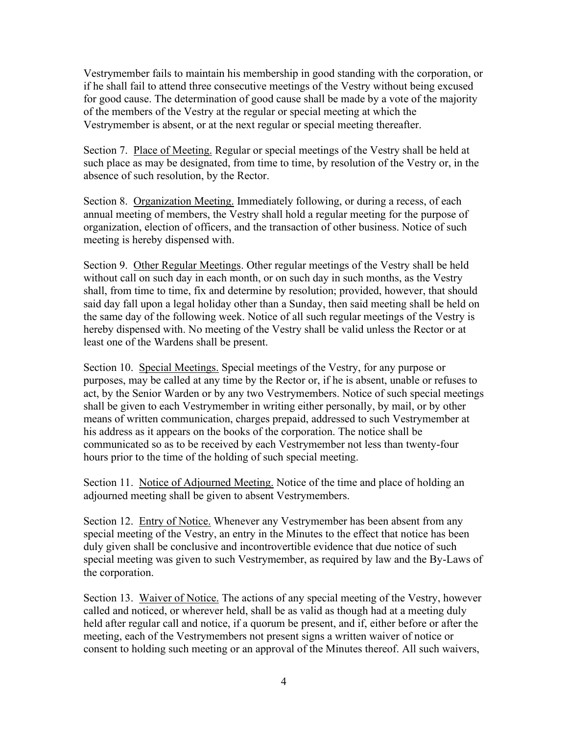Vestrymember fails to maintain his membership in good standing with the corporation, or if he shall fail to attend three consecutive meetings of the Vestry without being excused for good cause. The determination of good cause shall be made by a vote of the majority of the members of the Vestry at the regular or special meeting at which the Vestrymember is absent, or at the next regular or special meeting thereafter.

Section 7. Place of Meeting. Regular or special meetings of the Vestry shall be held at such place as may be designated, from time to time, by resolution of the Vestry or, in the absence of such resolution, by the Rector.

Section 8. Organization Meeting. Immediately following, or during a recess, of each annual meeting of members, the Vestry shall hold a regular meeting for the purpose of organization, election of officers, and the transaction of other business. Notice of such meeting is hereby dispensed with.

Section 9. Other Regular Meetings. Other regular meetings of the Vestry shall be held without call on such day in each month, or on such day in such months, as the Vestry shall, from time to time, fix and determine by resolution; provided, however, that should said day fall upon a legal holiday other than a Sunday, then said meeting shall be held on the same day of the following week. Notice of all such regular meetings of the Vestry is hereby dispensed with. No meeting of the Vestry shall be valid unless the Rector or at least one of the Wardens shall be present.

Section 10. Special Meetings. Special meetings of the Vestry, for any purpose or purposes, may be called at any time by the Rector or, if he is absent, unable or refuses to act, by the Senior Warden or by any two Vestrymembers. Notice of such special meetings shall be given to each Vestrymember in writing either personally, by mail, or by other means of written communication, charges prepaid, addressed to such Vestrymember at his address as it appears on the books of the corporation. The notice shall be communicated so as to be received by each Vestrymember not less than twenty-four hours prior to the time of the holding of such special meeting.

Section 11. Notice of Adjourned Meeting. Notice of the time and place of holding an adjourned meeting shall be given to absent Vestrymembers.

Section 12. Entry of Notice. Whenever any Vestrymember has been absent from any special meeting of the Vestry, an entry in the Minutes to the effect that notice has been duly given shall be conclusive and incontrovertible evidence that due notice of such special meeting was given to such Vestrymember, as required by law and the By-Laws of the corporation.

Section 13. Waiver of Notice. The actions of any special meeting of the Vestry, however called and noticed, or wherever held, shall be as valid as though had at a meeting duly held after regular call and notice, if a quorum be present, and if, either before or after the meeting, each of the Vestrymembers not present signs a written waiver of notice or consent to holding such meeting or an approval of the Minutes thereof. All such waivers,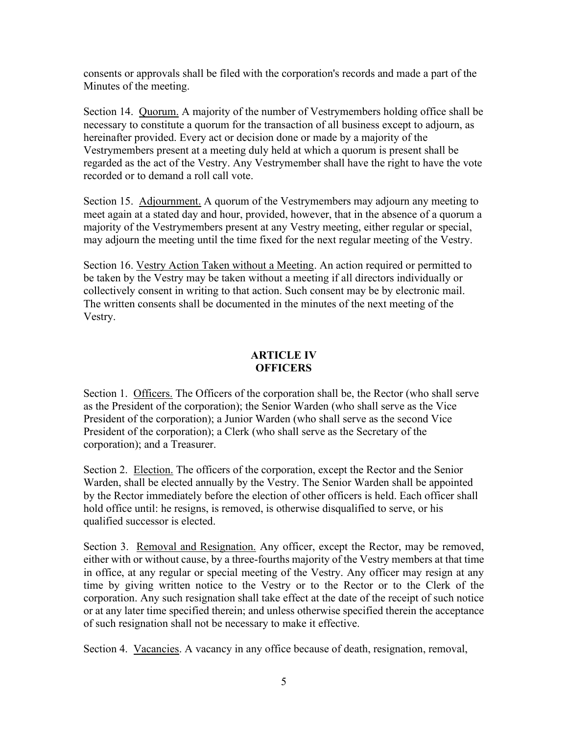consents or approvals shall be filed with the corporation's records and made a part of the Minutes of the meeting.

Section 14. Quorum. A majority of the number of Vestrymembers holding office shall be necessary to constitute a quorum for the transaction of all business except to adjourn, as hereinafter provided. Every act or decision done or made by a majority of the Vestrymembers present at a meeting duly held at which a quorum is present shall be regarded as the act of the Vestry. Any Vestrymember shall have the right to have the vote recorded or to demand a roll call vote.

Section 15. Adjournment. A quorum of the Vestrymembers may adjourn any meeting to meet again at a stated day and hour, provided, however, that in the absence of a quorum a majority of the Vestrymembers present at any Vestry meeting, either regular or special, may adjourn the meeting until the time fixed for the next regular meeting of the Vestry.

Section 16. Vestry Action Taken without a Meeting. An action required or permitted to be taken by the Vestry may be taken without a meeting if all directors individually or collectively consent in writing to that action. Such consent may be by electronic mail. The written consents shall be documented in the minutes of the next meeting of the Vestry.

## **ARTICLE IV OFFICERS**

Section 1. Officers. The Officers of the corporation shall be, the Rector (who shall serve as the President of the corporation); the Senior Warden (who shall serve as the Vice President of the corporation); a Junior Warden (who shall serve as the second Vice President of the corporation); a Clerk (who shall serve as the Secretary of the corporation); and a Treasurer.

Section 2. Election. The officers of the corporation, except the Rector and the Senior Warden, shall be elected annually by the Vestry. The Senior Warden shall be appointed by the Rector immediately before the election of other officers is held. Each officer shall hold office until: he resigns, is removed, is otherwise disqualified to serve, or his qualified successor is elected.

Section 3. Removal and Resignation. Any officer, except the Rector, may be removed, either with or without cause, by a three-fourths majority of the Vestry members at that time in office, at any regular or special meeting of the Vestry. Any officer may resign at any time by giving written notice to the Vestry or to the Rector or to the Clerk of the corporation. Any such resignation shall take effect at the date of the receipt of such notice or at any later time specified therein; and unless otherwise specified therein the acceptance of such resignation shall not be necessary to make it effective.

Section 4. Vacancies. A vacancy in any office because of death, resignation, removal,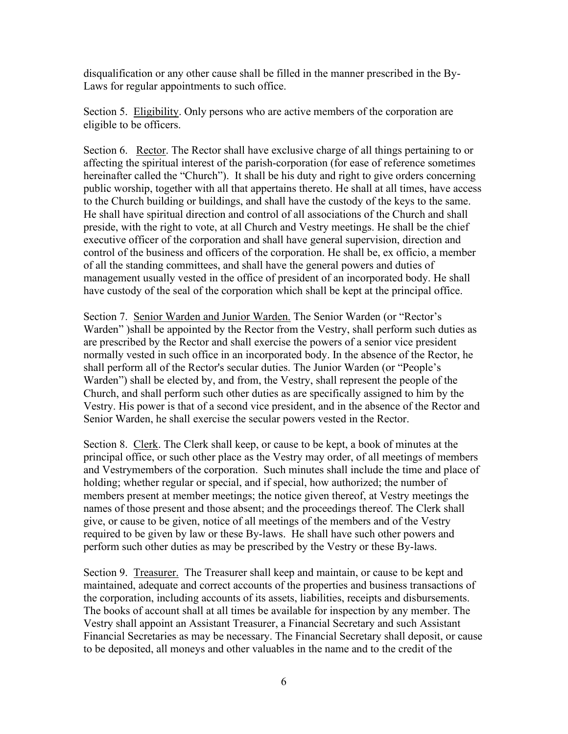disqualification or any other cause shall be filled in the manner prescribed in the By-Laws for regular appointments to such office.

Section 5. Eligibility. Only persons who are active members of the corporation are eligible to be officers.

Section 6. Rector. The Rector shall have exclusive charge of all things pertaining to or affecting the spiritual interest of the parish-corporation (for ease of reference sometimes hereinafter called the "Church"). It shall be his duty and right to give orders concerning public worship, together with all that appertains thereto. He shall at all times, have access to the Church building or buildings, and shall have the custody of the keys to the same. He shall have spiritual direction and control of all associations of the Church and shall preside, with the right to vote, at all Church and Vestry meetings. He shall be the chief executive officer of the corporation and shall have general supervision, direction and control of the business and officers of the corporation. He shall be, ex officio, a member of all the standing committees, and shall have the general powers and duties of management usually vested in the office of president of an incorporated body. He shall have custody of the seal of the corporation which shall be kept at the principal office.

Section 7. Senior Warden and Junior Warden. The Senior Warden (or "Rector's Warden" )shall be appointed by the Rector from the Vestry, shall perform such duties as are prescribed by the Rector and shall exercise the powers of a senior vice president normally vested in such office in an incorporated body. In the absence of the Rector, he shall perform all of the Rector's secular duties. The Junior Warden (or "People's Warden") shall be elected by, and from, the Vestry, shall represent the people of the Church, and shall perform such other duties as are specifically assigned to him by the Vestry. His power is that of a second vice president, and in the absence of the Rector and Senior Warden, he shall exercise the secular powers vested in the Rector.

Section 8. Clerk. The Clerk shall keep, or cause to be kept, a book of minutes at the principal office, or such other place as the Vestry may order, of all meetings of members and Vestrymembers of the corporation. Such minutes shall include the time and place of holding; whether regular or special, and if special, how authorized; the number of members present at member meetings; the notice given thereof, at Vestry meetings the names of those present and those absent; and the proceedings thereof. The Clerk shall give, or cause to be given, notice of all meetings of the members and of the Vestry required to be given by law or these By-laws. He shall have such other powers and perform such other duties as may be prescribed by the Vestry or these By-laws.

Section 9. Treasurer. The Treasurer shall keep and maintain, or cause to be kept and maintained, adequate and correct accounts of the properties and business transactions of the corporation, including accounts of its assets, liabilities, receipts and disbursements. The books of account shall at all times be available for inspection by any member. The Vestry shall appoint an Assistant Treasurer, a Financial Secretary and such Assistant Financial Secretaries as may be necessary. The Financial Secretary shall deposit, or cause to be deposited, all moneys and other valuables in the name and to the credit of the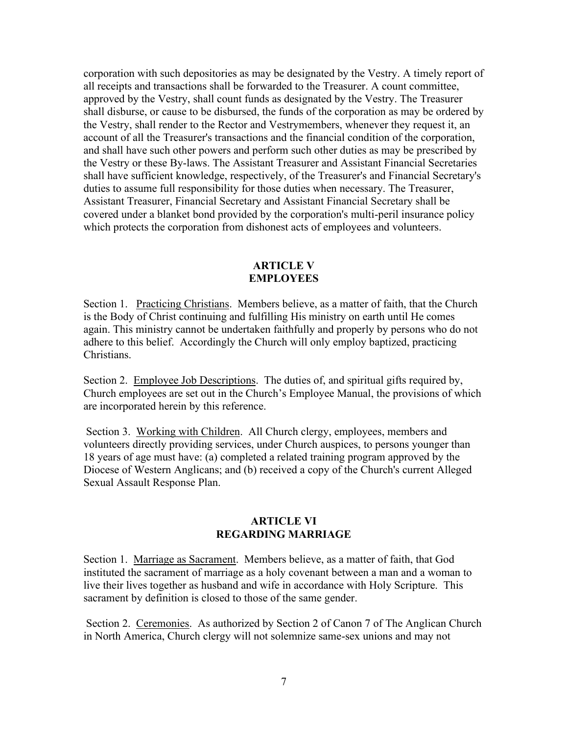corporation with such depositories as may be designated by the Vestry. A timely report of all receipts and transactions shall be forwarded to the Treasurer. A count committee, approved by the Vestry, shall count funds as designated by the Vestry. The Treasurer shall disburse, or cause to be disbursed, the funds of the corporation as may be ordered by the Vestry, shall render to the Rector and Vestrymembers, whenever they request it, an account of all the Treasurer's transactions and the financial condition of the corporation, and shall have such other powers and perform such other duties as may be prescribed by the Vestry or these By-laws. The Assistant Treasurer and Assistant Financial Secretaries shall have sufficient knowledge, respectively, of the Treasurer's and Financial Secretary's duties to assume full responsibility for those duties when necessary. The Treasurer, Assistant Treasurer, Financial Secretary and Assistant Financial Secretary shall be covered under a blanket bond provided by the corporation's multi-peril insurance policy which protects the corporation from dishonest acts of employees and volunteers.

## **ARTICLE V EMPLOYEES**

Section 1. Practicing Christians. Members believe, as a matter of faith, that the Church is the Body of Christ continuing and fulfilling His ministry on earth until He comes again. This ministry cannot be undertaken faithfully and properly by persons who do not adhere to this belief. Accordingly the Church will only employ baptized, practicing Christians.

Section 2. Employee Job Descriptions. The duties of, and spiritual gifts required by, Church employees are set out in the Church's Employee Manual, the provisions of which are incorporated herein by this reference.

Section 3. Working with Children. All Church clergy, employees, members and volunteers directly providing services, under Church auspices, to persons younger than 18 years of age must have: (a) completed a related training program approved by the Diocese of Western Anglicans; and (b) received a copy of the Church's current Alleged Sexual Assault Response Plan.

### **ARTICLE VI REGARDING MARRIAGE**

Section 1. Marriage as Sacrament. Members believe, as a matter of faith, that God instituted the sacrament of marriage as a holy covenant between a man and a woman to live their lives together as husband and wife in accordance with Holy Scripture. This sacrament by definition is closed to those of the same gender.

Section 2. Ceremonies. As authorized by Section 2 of Canon 7 of The Anglican Church in North America, Church clergy will not solemnize same-sex unions and may not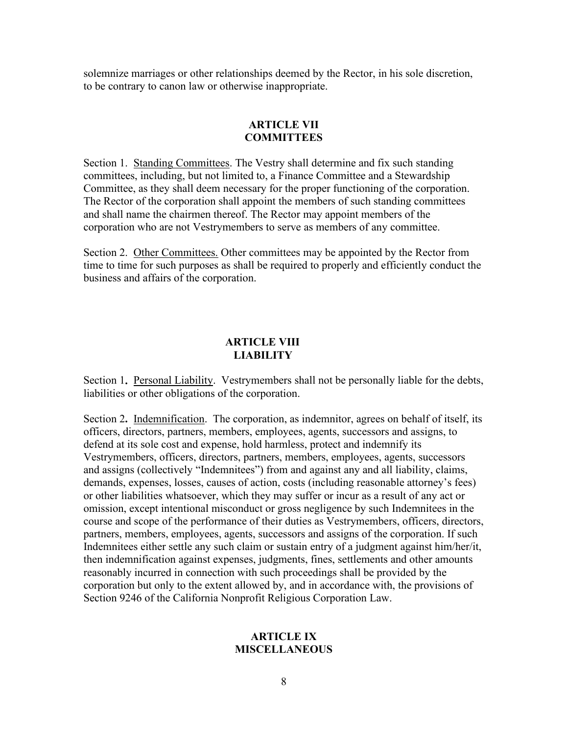solemnize marriages or other relationships deemed by the Rector, in his sole discretion, to be contrary to canon law or otherwise inappropriate.

#### **ARTICLE VII COMMITTEES**

Section 1. Standing Committees. The Vestry shall determine and fix such standing committees, including, but not limited to, a Finance Committee and a Stewardship Committee, as they shall deem necessary for the proper functioning of the corporation. The Rector of the corporation shall appoint the members of such standing committees and shall name the chairmen thereof. The Rector may appoint members of the corporation who are not Vestrymembers to serve as members of any committee.

Section 2. Other Committees. Other committees may be appointed by the Rector from time to time for such purposes as shall be required to properly and efficiently conduct the business and affairs of the corporation.

### **ARTICLE VIII LIABILITY**

Section 1. Personal Liability. Vestrymembers shall not be personally liable for the debts, liabilities or other obligations of the corporation.

Section 2**.** Indemnification. The corporation, as indemnitor, agrees on behalf of itself, its officers, directors, partners, members, employees, agents, successors and assigns, to defend at its sole cost and expense, hold harmless, protect and indemnify its Vestrymembers, officers, directors, partners, members, employees, agents, successors and assigns (collectively "Indemnitees") from and against any and all liability, claims, demands, expenses, losses, causes of action, costs (including reasonable attorney's fees) or other liabilities whatsoever, which they may suffer or incur as a result of any act or omission, except intentional misconduct or gross negligence by such Indemnitees in the course and scope of the performance of their duties as Vestrymembers, officers, directors, partners, members, employees, agents, successors and assigns of the corporation. If such Indemnitees either settle any such claim or sustain entry of a judgment against him/her/it, then indemnification against expenses, judgments, fines, settlements and other amounts reasonably incurred in connection with such proceedings shall be provided by the corporation but only to the extent allowed by, and in accordance with, the provisions of Section 9246 of the California Nonprofit Religious Corporation Law.

#### **ARTICLE IX MISCELLANEOUS**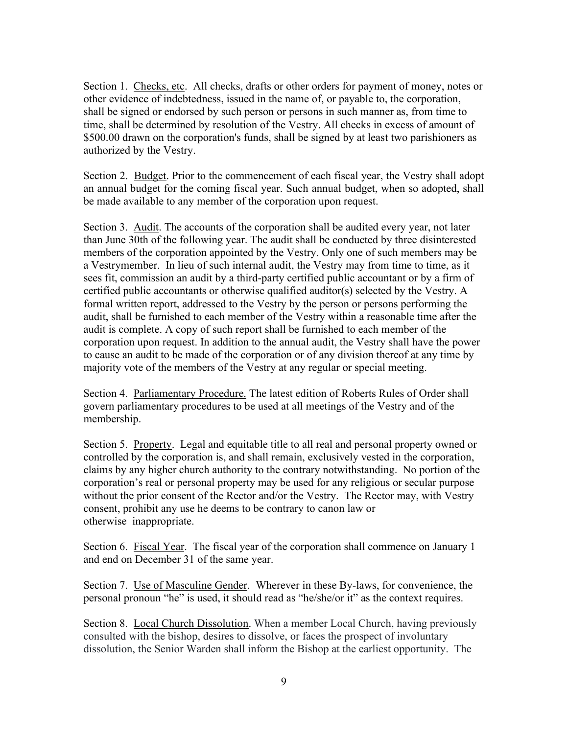Section 1. Checks, etc. All checks, drafts or other orders for payment of money, notes or other evidence of indebtedness, issued in the name of, or payable to, the corporation, shall be signed or endorsed by such person or persons in such manner as, from time to time, shall be determined by resolution of the Vestry. All checks in excess of amount of \$500.00 drawn on the corporation's funds, shall be signed by at least two parishioners as authorized by the Vestry.

Section 2. Budget. Prior to the commencement of each fiscal year, the Vestry shall adopt an annual budget for the coming fiscal year. Such annual budget, when so adopted, shall be made available to any member of the corporation upon request.

Section 3. Audit. The accounts of the corporation shall be audited every year, not later than June 30th of the following year. The audit shall be conducted by three disinterested members of the corporation appointed by the Vestry. Only one of such members may be a Vestrymember. In lieu of such internal audit, the Vestry may from time to time, as it sees fit, commission an audit by a third-party certified public accountant or by a firm of certified public accountants or otherwise qualified auditor(s) selected by the Vestry. A formal written report, addressed to the Vestry by the person or persons performing the audit, shall be furnished to each member of the Vestry within a reasonable time after the audit is complete. A copy of such report shall be furnished to each member of the corporation upon request. In addition to the annual audit, the Vestry shall have the power to cause an audit to be made of the corporation or of any division thereof at any time by majority vote of the members of the Vestry at any regular or special meeting.

Section 4. Parliamentary Procedure. The latest edition of Roberts Rules of Order shall govern parliamentary procedures to be used at all meetings of the Vestry and of the membership.

Section 5. Property. Legal and equitable title to all real and personal property owned or controlled by the corporation is, and shall remain, exclusively vested in the corporation, claims by any higher church authority to the contrary notwithstanding. No portion of the corporation's real or personal property may be used for any religious or secular purpose without the prior consent of the Rector and/or the Vestry. The Rector may, with Vestry consent, prohibit any use he deems to be contrary to canon law or otherwise inappropriate.

Section 6. Fiscal Year. The fiscal year of the corporation shall commence on January 1 and end on December 31 of the same year.

Section 7. Use of Masculine Gender. Wherever in these By-laws, for convenience, the personal pronoun "he" is used, it should read as "he/she/or it" as the context requires.

Section 8. Local Church Dissolution. When a member Local Church, having previously consulted with the bishop, desires to dissolve, or faces the prospect of involuntary dissolution, the Senior Warden shall inform the Bishop at the earliest opportunity. The